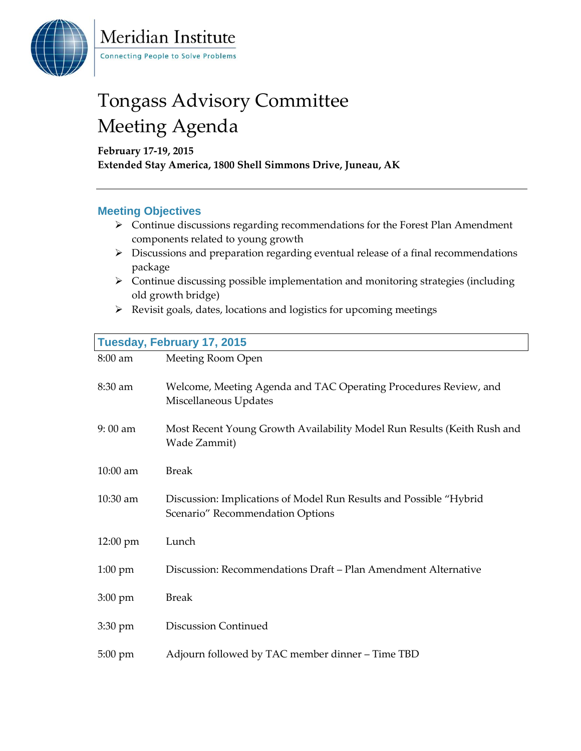

Meridian Institute **Connecting People to Solve Problems** 

## Tongass Advisory Committee Meeting Agenda

**February 17-19, 2015 Extended Stay America, 1800 Shell Simmons Drive, Juneau, AK**

## **Meeting Objectives**

- $\triangleright$  Continue discussions regarding recommendations for the Forest Plan Amendment components related to young growth
- $\triangleright$  Discussions and preparation regarding eventual release of a final recommendations package
- Continue discussing possible implementation and monitoring strategies (including old growth bridge)
- $\triangleright$  Revisit goals, dates, locations and logistics for upcoming meetings

| Tuesday, February 17, 2015 |                                                                                                         |  |
|----------------------------|---------------------------------------------------------------------------------------------------------|--|
| 8:00 am                    | Meeting Room Open                                                                                       |  |
| $8:30$ am                  | Welcome, Meeting Agenda and TAC Operating Procedures Review, and<br>Miscellaneous Updates               |  |
| 9:00 am                    | Most Recent Young Growth Availability Model Run Results (Keith Rush and<br>Wade Zammit)                 |  |
| 10:00 am                   | <b>Break</b>                                                                                            |  |
| 10:30 am                   | Discussion: Implications of Model Run Results and Possible "Hybrid"<br>Scenario" Recommendation Options |  |
| $12:00 \text{ pm}$         | Lunch                                                                                                   |  |
| $1:00 \text{ pm}$          | Discussion: Recommendations Draft - Plan Amendment Alternative                                          |  |
| $3:00 \text{ pm}$          | <b>Break</b>                                                                                            |  |
| $3:30 \text{ pm}$          | <b>Discussion Continued</b>                                                                             |  |
| $5:00 \text{ pm}$          | Adjourn followed by TAC member dinner – Time TBD                                                        |  |